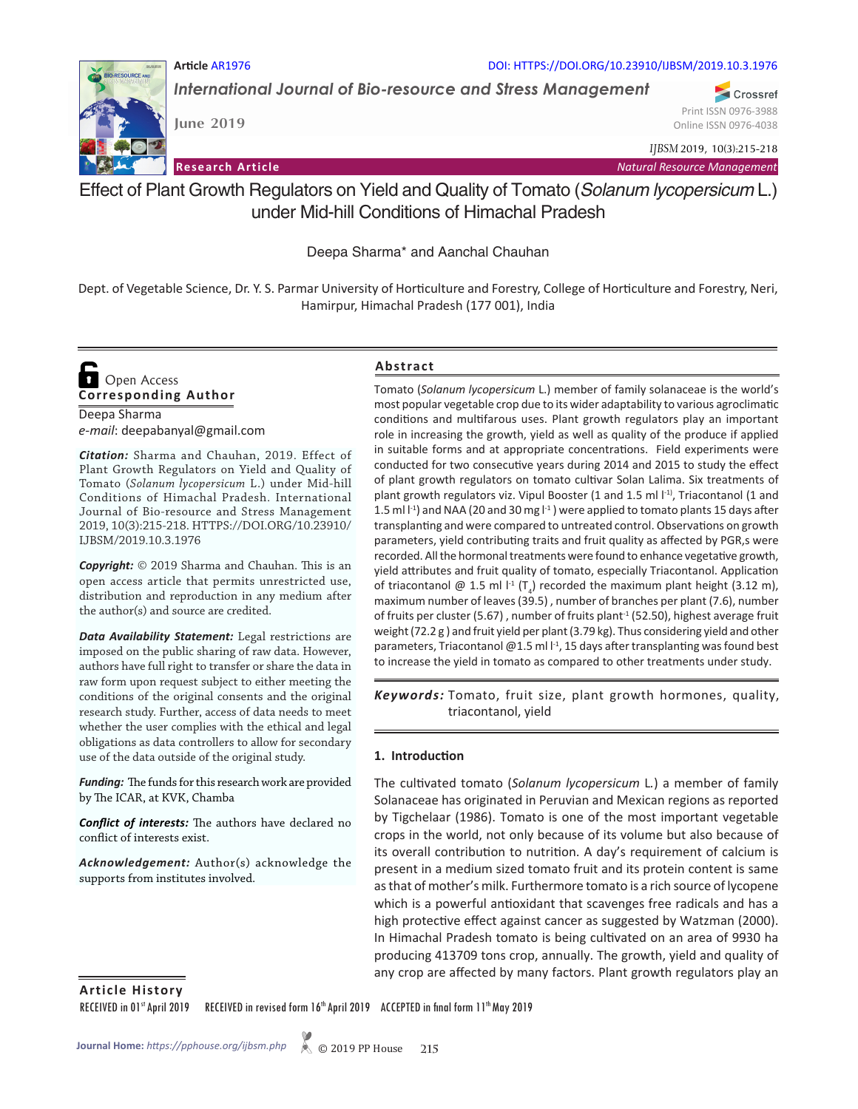#### **Article** AR1976 DOI: HTTPS://DOI.ORG/10.23910/IJBSM/2019.10.3.1976

*International Journal of Bio-resource and Stress Management*

Crossref Print ISSN 0976-3988 Online ISSN 0976-4038

*IJBSM* 2019, 10(3):215-218

**Research Article** *Natural Resource Management*

Effect of Plant Growth Regulators on Yield and Quality of Tomato (*Solanum lycopersicum* L.) under Mid-hill Conditions of Himachal Pradesh

Deepa Sharma\* and Aanchal Chauhan

Dept. of Vegetable Science, Dr. Y. S. Parmar University of Horticulture and Forestry, College of Horticulture and Forestry, Neri, Hamirpur, Himachal Pradesh (177 001), India

# **Corresponding Author**  Open Access

Deepa Sharma *e-mail*: deepabanyal@gmail.com

*Citation:* Sharma and Chauhan, 2019. Effect of Plant Growth Regulators on Yield and Quality of Tomato (*Solanum lycopersicum* L.) under Mid-hill Conditions of Himachal Pradesh. International Journal of Bio-resource and Stress Management 2019, 10(3):215-218. HTTPS://DOI.ORG/10.23910/ IJBSM/2019.10.3.1976

**June 2019**

*Copyright:* © 2019 Sharma and Chauhan. This is an open access article that permits unrestricted use, distribution and reproduction in any medium after the author(s) and source are credited.

*Data Availability Statement:* Legal restrictions are imposed on the public sharing of raw data. However, authors have full right to transfer or share the data in raw form upon request subject to either meeting the conditions of the original consents and the original research study. Further, access of data needs to meet whether the user complies with the ethical and legal obligations as data controllers to allow for secondary use of the data outside of the original study.

*Funding:* The funds for this research work are provided by The ICAR, at KVK, Chamba

*Conflict of interests:* The authors have declared no conflict of interests exist.

*Acknowledgement:* Author(s) acknowledge the supports from institutes involved.

## **Abstract**

Tomato (*Solanum lycopersicum* L.) member of family solanaceae is the world's most popular vegetable crop due to its wider adaptability to various agroclimatic conditions and multifarous uses. Plant growth regulators play an important role in increasing the growth, yield as well as quality of the produce if applied in suitable forms and at appropriate concentrations. Field experiments were conducted for two consecutive years during 2014 and 2015 to study the effect of plant growth regulators on tomato cultivar Solan Lalima. Six treatments of plant growth regulators viz. Vipul Booster (1 and 1.5 ml  $\vert$ <sup>-1)</sup>, Triacontanol (1 and 1.5 ml  $1<sup>1</sup>$ ) and NAA (20 and 30 mg  $1<sup>1</sup>$ ) were applied to tomato plants 15 days after transplanting and were compared to untreated control. Observations on growth parameters, yield contributing traits and fruit quality as affected by PGR,s were recorded. All the hormonal treatments were found to enhance vegetative growth, yield attributes and fruit quality of tomato, especially Triacontanol. Application of triacontanol @ 1.5 ml  $I^1$  (T<sub>4</sub>) recorded the maximum plant height (3.12 m), maximum number of leaves (39.5) , number of branches per plant (7.6), number of fruits per cluster (5.67), number of fruits plant<sup>-1</sup> (52.50), highest average fruit weight (72.2 g ) and fruit yield per plant (3.79 kg). Thus considering yield and other parameters, Triacontanol @1.5 ml  $1<sup>-1</sup>$ , 15 days after transplanting was found best to increase the yield in tomato as compared to other treatments under study.

Keywords: Tomato, fruit size, plant growth hormones, quality, triacontanol, yield

### **1. Introduction**

The cultivated tomato (*Solanum lycopersicum* L*.*) a member of family Solanaceae has originated in Peruvian and Mexican regions as reported by Tigchelaar (1986). Tomato is one of the most important vegetable crops in the world, not only because of its volume but also because of its overall contribution to nutrition. A day's requirement of calcium is present in a medium sized tomato fruit and its protein content is same as that of mother's milk. Furthermore tomato is a rich source of lycopene which is a powerful antioxidant that scavenges free radicals and has a high protective effect against cancer as suggested by Watzman (2000). In Himachal Pradesh tomato is being cultivated on an area of 9930 ha producing 413709 tons crop, annually. The growth, yield and quality of any crop are affected by many factors. Plant growth regulators play an

**Article History**

RECEIVED in 01<sup>st</sup> April 2019 RECEIVED in revised form 16<sup>th</sup> April 2019 ACCEPTED in final form 11<sup>th</sup> May 2019

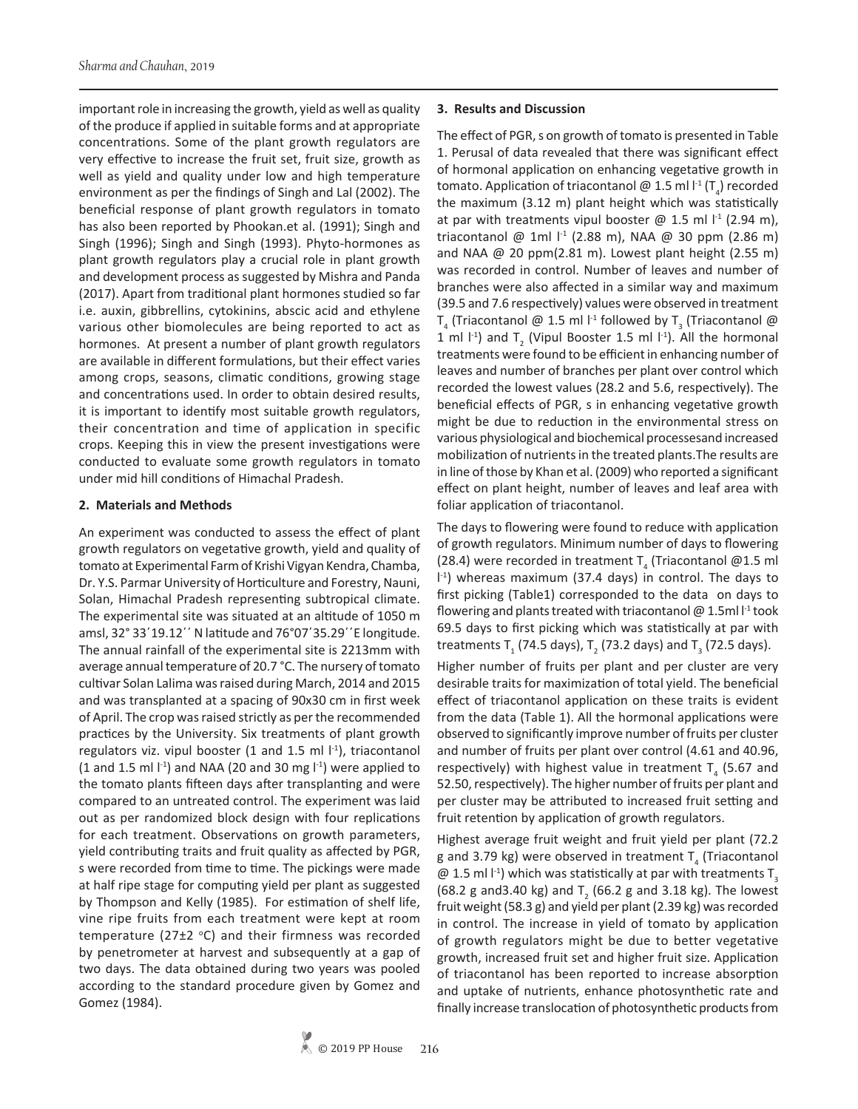important role in increasing the growth, yield as well as quality of the produce if applied in suitable forms and at appropriate concentrations. Some of the plant growth regulators are very effective to increase the fruit set, fruit size, growth as well as yield and quality under low and high temperature environment as per the findings of Singh and Lal (2002). The beneficial response of plant growth regulators in tomato has also been reported by Phookan.et al. (1991); Singh and Singh (1996); Singh and Singh (1993). Phyto-hormones as plant growth regulators play a crucial role in plant growth and development process as suggested by Mishra and Panda (2017). Apart from traditional plant hormones studied so far i.e. auxin, gibbrellins, cytokinins, abscic acid and ethylene various other biomolecules are being reported to act as hormones. At present a number of plant growth regulators are available in different formulations, but their effect varies among crops, seasons, climatic conditions, growing stage and concentrations used. In order to obtain desired results, it is important to identify most suitable growth regulators, their concentration and time of application in specific crops. Keeping this in view the present investigations were conducted to evaluate some growth regulators in tomato under mid hill conditions of Himachal Pradesh.

## **2. Materials and Methods**

An experiment was conducted to assess the effect of plant growth regulators on vegetative growth, yield and quality of tomato at Experimental Farm of Krishi Vigyan Kendra, Chamba, Dr. Y.S. Parmar University of Horticulture and Forestry, Nauni, Solan, Himachal Pradesh representing subtropical climate. The experimental site was situated at an altitude of 1050 m amsl, 32° 33΄19.12΄΄ N latitude and 76°07΄35.29΄΄E longitude. The annual rainfall of the experimental site is 2213mm with average annual temperature of 20.7 °C. The nursery of tomato cultivar Solan Lalima was raised during March, 2014 and 2015 and was transplanted at a spacing of 90x30 cm in first week of April. The crop was raised strictly as per the recommended practices by the University. Six treatments of plant growth regulators viz. vipul booster (1 and 1.5 ml  $\vert$ <sup>1</sup>), triacontanol (1 and 1.5 ml  $\binom{1}{1}$  and NAA (20 and 30 mg  $\binom{1}{1}$  were applied to the tomato plants fifteen days after transplanting and were compared to an untreated control. The experiment was laid out as per randomized block design with four replications for each treatment. Observations on growth parameters, yield contributing traits and fruit quality as affected by PGR, s were recorded from time to time. The pickings were made at half ripe stage for computing yield per plant as suggested by Thompson and Kelly (1985). For estimation of shelf life, vine ripe fruits from each treatment were kept at room temperature ( $27\pm2$  °C) and their firmness was recorded by penetrometer at harvest and subsequently at a gap of two days. The data obtained during two years was pooled according to the standard procedure given by Gomez and Gomez (1984).

## **3. Results and Discussion**

The effect of PGR, s on growth of tomato is presented in Table 1. Perusal of data revealed that there was significant effect of hormonal application on enhancing vegetative growth in tomato. Application of triacontanol @ 1.5 ml  $I^1(T_4)$  recorded the maximum (3.12 m) plant height which was statistically at par with treatments vipul booster  $\omega$  1.5 ml  $I<sup>-1</sup>$  (2.94 m), triacontanol @ 1ml  $1^{-1}$  (2.88 m), NAA @ 30 ppm (2.86 m) and NAA @ 20 ppm(2.81 m). Lowest plant height (2.55 m) was recorded in control. Number of leaves and number of branches were also affected in a similar way and maximum (39.5 and 7.6 respectively) values were observed in treatment  $T_4$  (Triacontanol @ 1.5 ml  $I^4$  followed by  $T_3$  (Triacontanol @ 1 ml  $\vert$ <sup>1</sup>) and T<sub>2</sub> (Vipul Booster 1.5 ml  $\vert$ <sup>1</sup>). All the hormonal treatments were found to be efficient in enhancing number of leaves and number of branches per plant over control which recorded the lowest values (28.2 and 5.6, respectively). The beneficial effects of PGR, s in enhancing vegetative growth might be due to reduction in the environmental stress on various physiological and biochemical processesand increased mobilization of nutrients in the treated plants.The results are in line of those by Khan et al. (2009) who reported a significant effect on plant height, number of leaves and leaf area with foliar application of triacontanol.

The days to flowering were found to reduce with application of growth regulators. Minimum number of days to flowering (28.4) were recorded in treatment  $T_{4}$  (Triacontanol @1.5 ml l -1) whereas maximum (37.4 days) in control. The days to first picking (Table1) corresponded to the data on days to flowering and plants treated with triacontanol  $@$  1.5ml  $I^1$  took 69.5 days to first picking which was statistically at par with treatments T<sub>1</sub> (74.5 days), T<sub>2</sub> (73.2 days) and T<sub>3</sub> (72.5 days).

Higher number of fruits per plant and per cluster are very desirable traits for maximization of total yield. The beneficial effect of triacontanol application on these traits is evident from the data (Table 1). All the hormonal applications were observed to significantly improve number of fruits per cluster and number of fruits per plant over control (4.61 and 40.96, respectively) with highest value in treatment  $T_4$  (5.67 and 52.50, respectively). The higher number of fruits per plant and per cluster may be attributed to increased fruit setting and fruit retention by application of growth regulators.

Highest average fruit weight and fruit yield per plant (72.2 g and 3.79 kg) were observed in treatment  $T_{4}$  (Triacontanol  $\omega$  1.5 ml  $\vert$ <sup>1</sup>) which was statistically at par with treatments T<sub>3</sub> (68.2 g and 3.40 kg) and  $T_{2}$  (66.2 g and 3.18 kg). The lowest fruit weight (58.3 g) and yield per plant (2.39 kg) was recorded in control. The increase in yield of tomato by application of growth regulators might be due to better vegetative growth, increased fruit set and higher fruit size. Application of triacontanol has been reported to increase absorption and uptake of nutrients, enhance photosynthetic rate and finally increase translocation of photosynthetic products from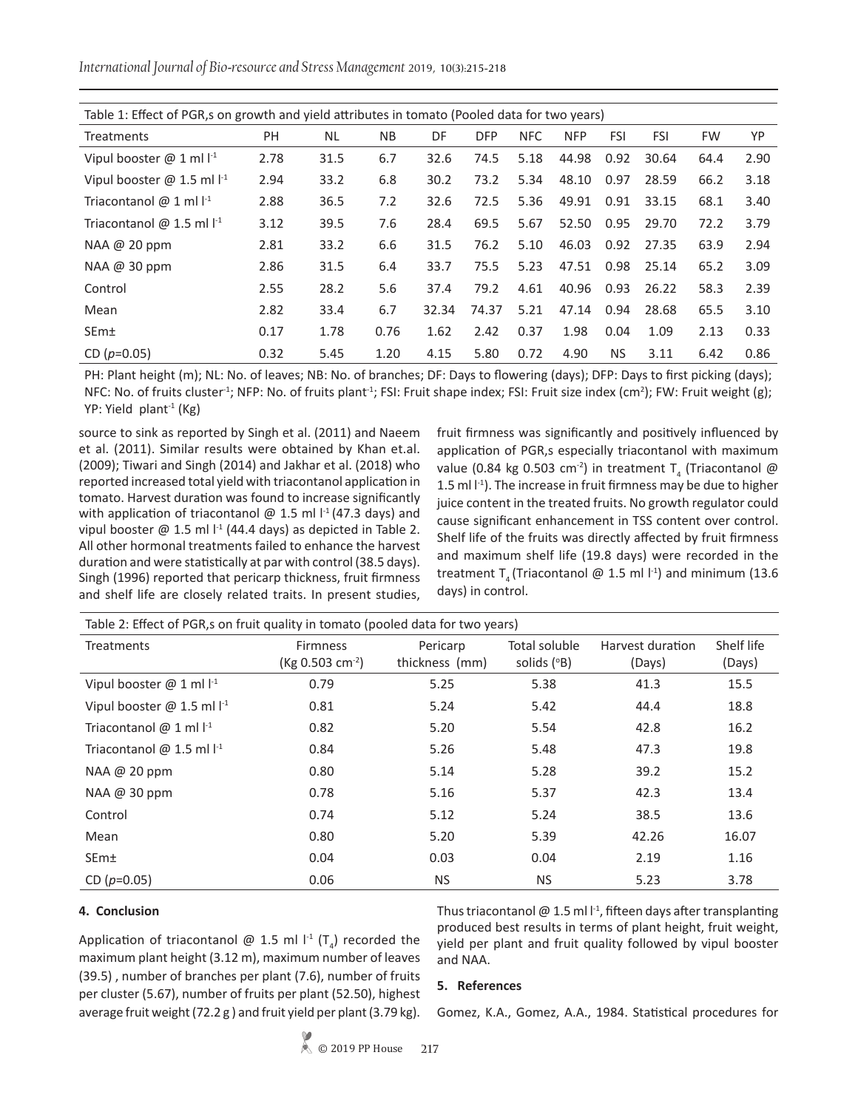*International Journal of Bio-resource and Stress Management* 2019, 10(3):215-218

| Table 1: Effect of PGR,s on growth and yield attributes in tomato (Pooled data for two years) |           |      |           |       |            |            |            |            |            |           |      |
|-----------------------------------------------------------------------------------------------|-----------|------|-----------|-------|------------|------------|------------|------------|------------|-----------|------|
| Treatments                                                                                    | <b>PH</b> | NL   | <b>NB</b> | DF    | <b>DFP</b> | <b>NFC</b> | <b>NFP</b> | <b>FSI</b> | <b>FSI</b> | <b>FW</b> | YP   |
| Vipul booster $\omega$ 1 ml $I^{-1}$                                                          | 2.78      | 31.5 | 6.7       | 32.6  | 74.5       | 5.18       | 44.98      | 0.92       | 30.64      | 64.4      | 2.90 |
| Vipul booster @ 1.5 ml $1-1$                                                                  | 2.94      | 33.2 | 6.8       | 30.2  | 73.2       | 5.34       | 48.10      | 0.97       | 28.59      | 66.2      | 3.18 |
| Triacontanol $\omega$ 1 ml $l^{-1}$                                                           | 2.88      | 36.5 | 7.2       | 32.6  | 72.5       | 5.36       | 49.91      | 0.91       | 33.15      | 68.1      | 3.40 |
| Triacontanol @ 1.5 ml $1-1$                                                                   | 3.12      | 39.5 | 7.6       | 28.4  | 69.5       | 5.67       | 52.50      | 0.95       | 29.70      | 72.2      | 3.79 |
| $NAA \omega$ 20 ppm                                                                           | 2.81      | 33.2 | 6.6       | 31.5  | 76.2       | 5.10       | 46.03      | 0.92       | 27.35      | 63.9      | 2.94 |
| NAA $@$ 30 ppm                                                                                | 2.86      | 31.5 | 6.4       | 33.7  | 75.5       | 5.23       | 47.51      | 0.98       | 25.14      | 65.2      | 3.09 |
| Control                                                                                       | 2.55      | 28.2 | 5.6       | 37.4  | 79.2       | 4.61       | 40.96      | 0.93       | 26.22      | 58.3      | 2.39 |
| Mean                                                                                          | 2.82      | 33.4 | 6.7       | 32.34 | 74.37      | 5.21       | 47.14      | 0.94       | 28.68      | 65.5      | 3.10 |
| SE <sub>m</sub>                                                                               | 0.17      | 1.78 | 0.76      | 1.62  | 2.42       | 0.37       | 1.98       | 0.04       | 1.09       | 2.13      | 0.33 |
| CD $(p=0.05)$                                                                                 | 0.32      | 5.45 | 1.20      | 4.15  | 5.80       | 0.72       | 4.90       | <b>NS</b>  | 3.11       | 6.42      | 0.86 |

PH: Plant height (m); NL: No. of leaves; NB: No. of branches; DF: Days to flowering (days); DFP: Days to first picking (days); NFC: No. of fruits cluster<sup>1</sup>; NFP: No. of fruits plant<sup>1</sup>; FSI: Fruit shape index; FSI: Fruit size index (cm<sup>2</sup>); FW: Fruit weight (g); YP: Yield plant<sup>-1</sup> (Kg)

source to sink as reported by Singh et al. (2011) and Naeem et al. (2011). Similar results were obtained by Khan et.al. (2009); Tiwari and Singh (2014) and Jakhar et al. (2018) who reported increased total yield with triacontanol application in tomato. Harvest duration was found to increase significantly with application of triacontanol  $\omega$  1.5 ml  $\mathbb{I}^1$  (47.3 days) and vipul booster  $@$  1.5 ml  $I<sup>1</sup>$  (44.4 days) as depicted in Table 2. All other hormonal treatments failed to enhance the harvest duration and were statistically at par with control (38.5 days). Singh (1996) reported that pericarp thickness, fruit firmness and shelf life are closely related traits. In present studies,

fruit firmness was significantly and positively influenced by application of PGR,s especially triacontanol with maximum value (0.84 kg 0.503 cm<sup>-2</sup>) in treatment T<sub>4</sub> (Triacontanol @ 1.5 ml  $\vert$ <sup>1</sup>). The increase in fruit firmness may be due to higher juice content in the treated fruits. No growth regulator could cause significant enhancement in TSS content over control. Shelf life of the fruits was directly affected by fruit firmness and maximum shelf life (19.8 days) were recorded in the treatment T<sub>4</sub> (Triacontanol @ 1.5 ml  $1<sup>-1</sup>$ ) and minimum (13.6 days) in control.

| Table 2: Effect of PGR,s on fruit quality in tomato (pooled data for two years) |                                                 |                            |                                       |                            |                      |  |  |  |  |
|---------------------------------------------------------------------------------|-------------------------------------------------|----------------------------|---------------------------------------|----------------------------|----------------------|--|--|--|--|
| <b>Treatments</b>                                                               | <b>Firmness</b><br>(Kg 0.503 cm <sup>-2</sup> ) | Pericarp<br>thickness (mm) | Total soluble<br>solids $(^{\circ}B)$ | Harvest duration<br>(Days) | Shelf life<br>(Days) |  |  |  |  |
| Vipul booster $@1$ ml $I-1$                                                     | 0.79                                            | 5.25                       | 5.38                                  | 41.3                       | 15.5                 |  |  |  |  |
| Vipul booster $@$ 1.5 ml $ ^{1}$                                                | 0.81                                            | 5.24                       | 5.42                                  | 44.4                       | 18.8                 |  |  |  |  |
| Triacontanol $\omega$ 1 ml $1^{-1}$                                             | 0.82                                            | 5.20                       | 5.54                                  | 42.8                       | 16.2                 |  |  |  |  |
| Triacontanol @ 1.5 ml $1-1$                                                     | 0.84                                            | 5.26                       | 5.48                                  | 47.3                       | 19.8                 |  |  |  |  |
| NAA @ 20 ppm                                                                    | 0.80                                            | 5.14                       | 5.28                                  | 39.2                       | 15.2                 |  |  |  |  |
| $NAA$ @ 30 ppm                                                                  | 0.78                                            | 5.16                       | 5.37                                  | 42.3                       | 13.4                 |  |  |  |  |
| Control                                                                         | 0.74                                            | 5.12                       | 5.24                                  | 38.5                       | 13.6                 |  |  |  |  |
| Mean                                                                            | 0.80                                            | 5.20                       | 5.39                                  | 42.26                      | 16.07                |  |  |  |  |
| SEm±                                                                            | 0.04                                            | 0.03                       | 0.04                                  | 2.19                       | 1.16                 |  |  |  |  |
| CD $(p=0.05)$                                                                   | 0.06                                            | <b>NS</b>                  | <b>NS</b>                             | 5.23                       | 3.78                 |  |  |  |  |

#### **4. Conclusion**

Application of triacontanol @ 1.5 ml  $I^{\text{-}1}$  (T<sub>4</sub>) recorded the maximum plant height (3.12 m), maximum number of leaves (39.5) , number of branches per plant (7.6), number of fruits per cluster (5.67), number of fruits per plant (52.50), highest average fruit weight (72.2 g ) and fruit yield per plant (3.79 kg).

Thus triacontanol  $\omega$  1.5 ml  $\mathbb{F}^1$ , fifteen days after transplanting produced best results in terms of plant height, fruit weight, yield per plant and fruit quality followed by vipul booster and NAA.

#### **5. References**

Gomez, K.A., Gomez, A.A., 1984. Statistical procedures for